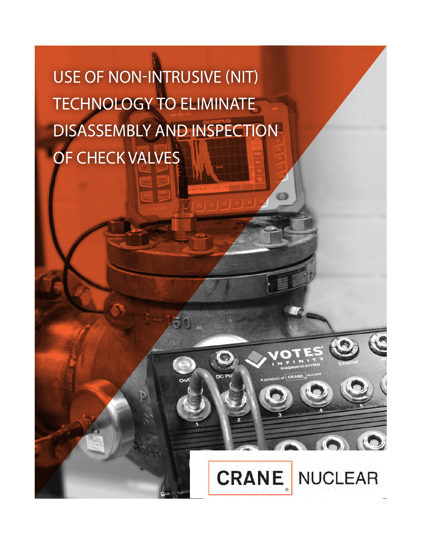USE OF **NON-INTRUSIVE (NIT) TECHNOLOGY** TO ELIMINATE DISASSEMBLY AND INSPECTION OF CHECK VALVES

6

**CRANE** NUCLEAR

6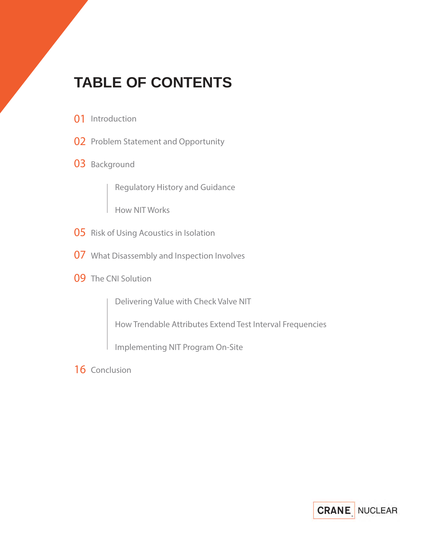# **TABLE OF CONTENTS**

- **01** Introduction
- **02** Problem Statement and Opportunity
- 03 Background

Regulatory History and Guidance

How NIT Works

- **05** Risk of Using Acoustics in Isolation
- What Disassembly and Inspection Involves **07**
- **09** The CNI Solution

Delivering Value with Check Valve NIT

How Trendable Attributes Extend Test Interval Frequencies

Implementing NIT Program On-Site

16 Conclusion

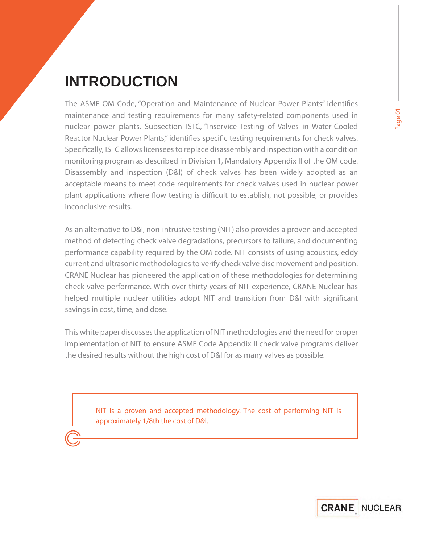# **INTRODUCTION**

The ASME OM Code, "Operation and Maintenance of Nuclear Power Plants" identifies maintenance and testing requirements for many safety-related components used in nuclear power plants. Subsection ISTC, "Inservice Testing of Valves in Water-Cooled Reactor Nuclear Power Plants," identifies specific testing requirements for check valves. Specifically, ISTC allows licensees to replace disassembly and inspection with a condition monitoring program as described in Division 1, Mandatory Appendix II of the OM code. Disassembly and inspection (D&I) of check valves has been widely adopted as an acceptable means to meet code requirements for check valves used in nuclear power plant applications where flow testing is difficult to establish, not possible, or provides inconclusive results.

As an alternative to D&I, non-intrusive testing (NIT) also provides a proven and accepted method of detecting check valve degradations, precursors to failure, and documenting performance capability required by the OM code. NIT consists of using acoustics, eddy current and ultrasonic methodologies to verify check valve disc movement and position. CRANE Nuclear has pioneered the application of these methodologies for determining check valve performance. With over thirty years of NIT experience, CRANE Nuclear has helped multiple nuclear utilities adopt NIT and transition from D&I with significant savings in cost, time, and dose.

This white paper discusses the application of NIT methodologies and the need for proper implementation of NIT to ensure ASME Code Appendix II check valve programs deliver the desired results without the high cost of D&I for as many valves as possible.

> **NIT is a proven and accepted methodology. The cost of performing NIT is approximately 1/8th the cost of D&I.**

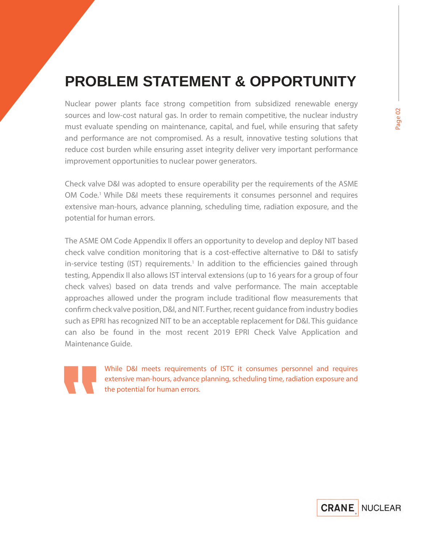# **PROBLEM STATEMENT & OPPORTUNITY**

Nuclear power plants face strong competition from subsidized renewable energy sources and low-cost natural gas. In order to remain competitive, the nuclear industry must evaluate spending on maintenance, capital, and fuel, while ensuring that safety and performance are not compromised. As a result, innovative testing solutions that reduce cost burden while ensuring asset integrity deliver very important performance improvement opportunities to nuclear power generators.

Check valve D&I was adopted to ensure operability per the requirements of the ASME OM Code.<sup>1</sup> While D&I meets these requirements it consumes personnel and requires extensive man-hours, advance planning, scheduling time, radiation exposure, and the potential for human errors.

The ASME OM Code Appendix II offers an opportunity to develop and deploy NIT based check valve condition monitoring that is a cost-effective alternative to D&I to satisfy in-service testing (IST) requirements.<sup>1</sup> In addition to the efficiencies gained through testing, Appendix II also allows IST interval extensions (up to 16 years for a group of four check valves) based on data trends and valve performance. The main acceptable approaches allowed under the program include traditional flow measurements that confirm check valve position, D&I, and NIT. Further, recent quidance from industry bodies such as EPRI has recognized NIT to be an acceptable replacement for D&I. This guidance can also be found in the most recent 2019 EPRI Check Valve Application and Maintenance Guide.



**While D&I meets requirements of ISTC it consumes personnel and requires extensive man-hours, advance planning, scheduling time, radiation exposure and the potential for human errors.**

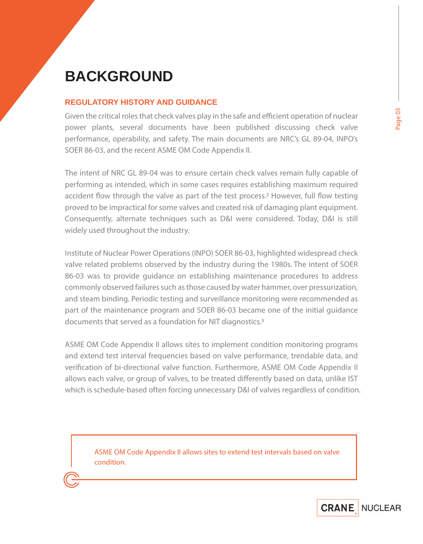# **BACKGROUND**

### **REGULATORY HISTORY AND GUIDANCE**

Given the critical roles that check valves play in the safe and efficient operation of nuclear power plants, several documents have been published discussing check valve performance, operability, and safety. The main documents are NRC's GL 89-04, INPO's SOER 86-03, and the recent ASME OM Code Appendix II.

The intent of NRC GL 89-04 was to ensure certain check valves remain fully capable of performing as intended, which in some cases requires establishing maximum required accident flow through the valve as part of the test process.<sup>2</sup> However, full flow testing proved to be impractical for some valves and created risk of damaging plant equipment. Consequently, alternate techniques such as D&I were considered. Today, D&I is still widely used throughout the industry.

Institute of Nuclear Power Operations (INPO) SOER 86-03, highlighted widespread check valve related problems observed by the industry during the 1980s. The intent of SOER 86-03 was to provide guidance on establishing maintenance procedures to address commonly observed failures such as those caused by water hammer, over pressurization, and steam binding. Periodic testing and surveillance monitoring were recommended as part of the maintenance program and SOER 86-03 became one of the initial guidance documents that served as a foundation for NIT diagnostics.3

ASME OM Code Appendix II allows sites to implement condition monitoring programs and extend test interval frequencies based on valve performance, trendable data, and verification of bi-directional valve function. Furthermore, ASME OM Code Appendix II allows each valve, or group of valves, to be treated differently based on data, unlike IST which is schedule-based often forcing unnecessary D&I of valves regardless of condition.

**ASME OM Code Appendix II allows sites to extend test intervals based on valve condition.**

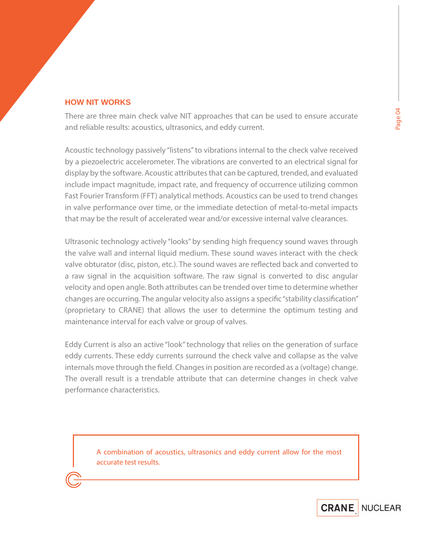## **HOW NIT WORKS**

There are three main check valve NIT approaches that can be used to ensure accurate and reliable results: acoustics, ultrasonics, and eddy current.

Acoustic technology passively "listens" to vibrations internal to the check valve received by a piezoelectric accelerometer. The vibrations are converted to an electrical signal for display by the software. Acoustic attributes that can be captured, trended, and evaluated include impact magnitude, impact rate, and frequency of occurrence utilizing common Fast Fourier Transform (FFT) analytical methods. Acoustics can be used to trend changes in valve performance over time, or the immediate detection of metal-to-metal impacts that may be the result of accelerated wear and/or excessive internal valve clearances.

Ultrasonic technology actively "looks" by sending high frequency sound waves through the valve wall and internal liquid medium. These sound waves interact with the check valve obturator (disc, piston, etc.). The sound waves are reflected back and converted to a raw signal in the acquisition software. The raw signal is converted to disc angular velocity and open angle. Both attributes can be trended over time to determine whether changes are occurring. The angular velocity also assigns a specific "stability classification" (proprietary to CRANE) that allows the user to determine the optimum testing and maintenance interval for each valve or group of valves.

Eddy Current is also an active "look" technology that relies on the generation of surface eddy currents. These eddy currents surround the check valve and collapse as the valve internals move through the field. Changes in position are recorded as a (voltage) change. The overall result is a trendable attribute that can determine changes in check valve performance characteristics.

> **A combination of acoustics, ultrasonics and eddy current allow for the most accurate test results.**

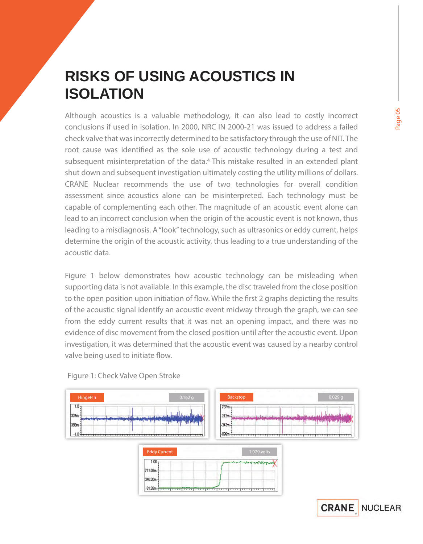# **RISKS OF USING ACOUSTICS IN ISOLATION**

Although acoustics is a valuable methodology, it can also lead to costly incorrect conclusions if used in isolation. In 2000, NRC IN 2000-21 was issued to address a failed check valve that was incorrectly determined to be satisfactory through the use of NIT. The root cause was identified as the sole use of acoustic technology during a test and subsequent misinterpretation of the data.<sup>4</sup> This mistake resulted in an extended plant shut down and subsequent investigation ultimately costing the utility millions of dollars. CRANE Nuclear recommends the use of two technologies for overall condition assessment since acoustics alone can be misinterpreted. Each technology must be capable of complementing each other. The magnitude of an acoustic event alone can lead to an incorrect conclusion when the origin of the acoustic event is not known, thus leading to a misdiagnosis. A "look" technology, such as ultrasonics or eddy current, helps determine the origin of the acoustic activity, thus leading to a true understanding of the acoustic data.

Figure 1 below demonstrates how acoustic technology can be misleading when supporting data is not available. In this example, the disc traveled from the close position to the open position upon initiation of flow. While the first 2 graphs depicting the results of the acoustic signal identify an acoustic event midway through the graph, we can see from the eddy current results that it was not an opening impact, and there was no evidence of disc movement from the closed position until after the acoustic event. Upon investigation, it was determined that the acoustic event was caused by a nearby control valve being used to initiate flow.



1.029 volts

340.30m  $-31.33m$ 

*Figure 1:* Check Valve Open Stroke

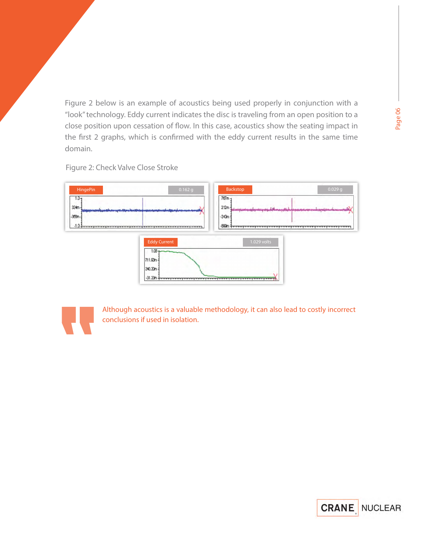Figure 2 below is an example of acoustics being used properly in conjunction with a "look" technology. Eddy current indicates the disc is traveling from an open position to a close position upon cessation of flow. In this case, acoustics show the seating impact in the first 2 graphs, which is confirmed with the eddy current results in the same time domain.

*Figure 2:* Check Valve Close Stroke





**Although acoustics is a valuable methodology, it can also lead to costly incorrect conclusions if used in isolation.**

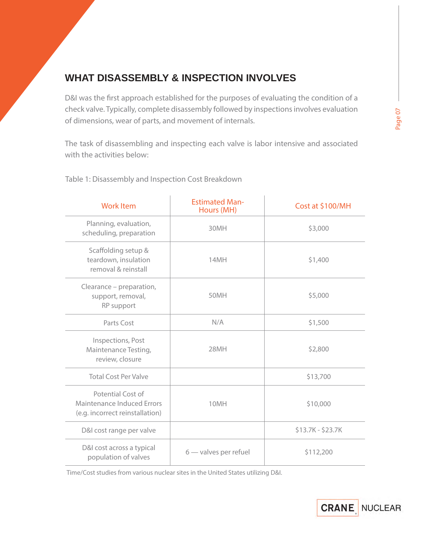# **WHAT DISASSEMBLY & INSPECTION INVOLVES**

D&I was the first approach established for the purposes of evaluating the condition of a check valve. Typically, complete disassembly followed by inspections involves evaluation of dimensions, wear of parts, and movement of internals.

The task of disassembling and inspecting each valve is labor intensive and associated with the activities below:

*Table 1:* Disassembly and Inspection Cost Breakdown

| <b>Work Item</b>                                                                   | <b>Estimated Man-</b><br>Hours (MH) | Cost at \$100/MH  |  |  |  |  |
|------------------------------------------------------------------------------------|-------------------------------------|-------------------|--|--|--|--|
| Planning, evaluation,<br>scheduling, preparation                                   | 30MH                                | \$3,000           |  |  |  |  |
| Scaffolding setup &<br>teardown, insulation<br>removal & reinstall                 | 14MH                                | \$1,400           |  |  |  |  |
| Clearance – preparation,<br>support, removal,<br>RP support                        | 50MH                                | \$5,000           |  |  |  |  |
| Parts Cost                                                                         | N/A                                 | \$1,500           |  |  |  |  |
| Inspections, Post<br>Maintenance Testing,<br>review, closure                       | 28MH                                | \$2,800           |  |  |  |  |
| <b>Total Cost Per Valve</b>                                                        |                                     | \$13,700          |  |  |  |  |
| Potential Cost of<br>Maintenance Induced Errors<br>(e.g. incorrect reinstallation) | 10MH                                | \$10,000          |  |  |  |  |
| D&I cost range per valve                                                           |                                     | $$13.7K - $23.7K$ |  |  |  |  |
| D&I cost across a typical<br>population of valves                                  | $6$ — valves per refuel             | \$112,200         |  |  |  |  |

Time/Cost studies from various nuclear sites in the United States utilizing D&I.



**Page 07**

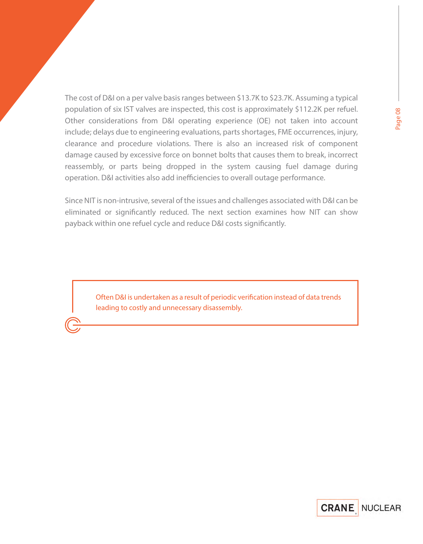The cost of D&I on a per valve basis ranges between \$13.7K to \$23.7K. Assuming a typical population of six IST valves are inspected, this cost is approximately \$112.2K per refuel. Other considerations from D&I operating experience (OE) not taken into account include; delays due to engineering evaluations, parts shortages, FME occurrences, injury, clearance and procedure violations. There is also an increased risk of component damage caused by excessive force on bonnet bolts that causes them to break, incorrect reassembly, or parts being dropped in the system causing fuel damage during

Since NIT is non-intrusive, several of the issues and challenges associated with D&I can be eliminated or significantly reduced. The next section examines how NIT can show payback within one refuel cycle and reduce D&I costs significantly.

operation. D&I activities also add inefficiencies to overall outage performance.

**Often D&I is undertaken as a result of periodic verification instead of data trends leading to costly and unnecessary disassembly.**

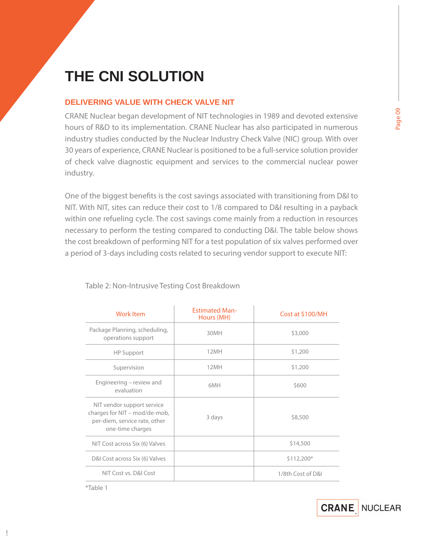# **THE CNI SOLUTION**

### **DELIVERING VALUE WITH CHECK VALVE NIT**

CRANE Nuclear began development of NIT technologies in 1989 and devoted extensive hours of R&D to its implementation. CRANE Nuclear has also participated in numerous industry studies conducted by the Nuclear Industry Check Valve (NIC) group. With over 30 years of experience, CRANE Nuclear is positioned to be a full-service solution provider of check valve diagnostic equipment and services to the commercial nuclear power industry.

One of the biggest benefits is the cost savings associated with transitioning from D&I to NIT. With NIT, sites can reduce their cost to 1/8 compared to D&I resulting in a payback within one refueling cycle. The cost savings come mainly from a reduction in resources necessary to perform the testing compared to conducting D&I. The table below shows the cost breakdown of performing NIT for a test population of six valves performed over a period of 3-days including costs related to securing vendor support to execute NIT:

| <b>Work Item</b>                                                                                                 | <b>Estimated Man-</b><br>Hours (MH) | Cost at \$100/MH  |  |  |  |  |
|------------------------------------------------------------------------------------------------------------------|-------------------------------------|-------------------|--|--|--|--|
| Package Planning, scheduling,<br>operations support                                                              | 30MH                                | \$3,000           |  |  |  |  |
| <b>HP Support</b>                                                                                                | 12MH                                | \$1,200           |  |  |  |  |
| Supervision                                                                                                      | 12MH                                | \$1,200           |  |  |  |  |
| Engineering – review and<br>evaluation                                                                           | 6MH                                 | \$600             |  |  |  |  |
| NIT vendor support service<br>charges for NIT - mod/de-mob,<br>per-diem, service rate, other<br>one-time charges | 3 days                              | \$8,500           |  |  |  |  |
| NIT Cost across Six (6) Valves                                                                                   |                                     | \$14,500          |  |  |  |  |
| D&I Cost across Six (6) Valves                                                                                   |                                     | \$112,200*        |  |  |  |  |
| NIT Cost vs. D&I Cost                                                                                            |                                     | 1/8th Cost of D&I |  |  |  |  |

*Table 2:* Non-Intrusive Testing Cost Breakdown

*\*Table 1*

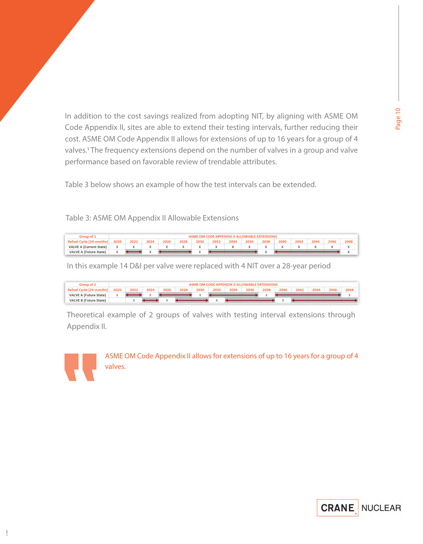In addition to the cost savings realized from adopting NIT, by aligning with ASME OM Code Appendix II, sites are able to extend their testing intervals, further reducing their cost. ASME OM Code Appendix II allows for extensions of up to 16 years for a group of 4 valves.1 The frequency extensions depend on the number of valves in a group and valve performance based on favorable review of trendable attributes.

Table 3 below shows an example of how the test intervals can be extended.

*Table 3:* ASME OM Appendix II Allowable Extensions

| Group of 1                      |      |      |      |      |                          |      | ASME OM CODE APPENDIX II ALLOWARI E EXTENSIONS |      |      |      |      |      |      |      |      |
|---------------------------------|------|------|------|------|--------------------------|------|------------------------------------------------|------|------|------|------|------|------|------|------|
| <b>Refuel Cycle (24 months)</b> | 2020 | 2022 | 2024 | 2026 | 2028                     | 2030 | 2032                                           | 2034 | 2036 | 2038 | 2040 | 2042 | 2044 | 2046 | 2048 |
| <b>VALVE A (Current State)</b>  |      |      |      |      | $\overline{\phantom{a}}$ |      | $\cdot$                                        |      |      |      |      |      |      |      |      |
| <b>VALVE A (Future State)</b>   |      |      |      |      |                          |      |                                                |      |      |      |      |      |      |      |      |

In this example 14 D&I per valve were replaced with 4 NIT over a 28-year period

| Group of 2                    |      |      |      |      |      |                          |      |      | ASME OM CODE APPENDIX II ALLOWABLE EXTENSIONS |      |            |      |      |      |      |
|-------------------------------|------|------|------|------|------|--------------------------|------|------|-----------------------------------------------|------|------------|------|------|------|------|
| Refuel Cycle (24 r            | 2020 | 2022 | 2024 | 2026 | 2028 | 2030                     | 2032 | 2034 | 2036                                          | 2038 | 2040       | 2042 | 2044 | 2046 | 2048 |
| <b>VALVE A (Future State)</b> |      |      |      |      |      | $\overline{\phantom{a}}$ |      |      |                                               |      |            |      |      |      |      |
| <b>VALVE B (Future State)</b> |      |      |      |      |      |                          |      |      |                                               |      | $\sqrt{2}$ |      |      |      |      |

Theoretical example of 2 groups of valves with testing interval extensions through Appendix II.



**ASME OM Code Appendix II allows for extensions of up to 16 years for a group of 4 valves.**

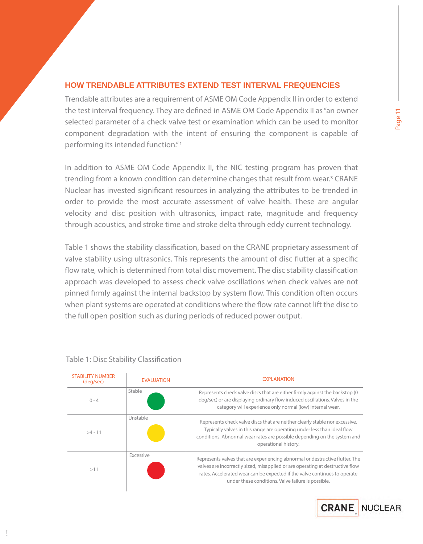### **HOW TRENDABLE ATTRIBUTES EXTEND TEST INTERVAL FREQUENCIES**

Trendable attributes are a requirement of ASME OM Code Appendix II in order to extend the test interval frequency. They are defined in ASME OM Code Appendix II as "an owner selected parameter of a check valve test or examination which can be used to monitor component degradation with the intent of ensuring the component is capable of performing its intended function." 1

In addition to ASME OM Code Appendix II, the NIC testing program has proven that trending from a known condition can determine changes that result from wear.3 CRANE Nuclear has invested significant resources in analyzing the attributes to be trended in order to provide the most accurate assessment of valve health. These are angular velocity and disc position with ultrasonics, impact rate, magnitude and frequency through acoustics, and stroke time and stroke delta through eddy current technology.

Table 1 shows the stability classification, based on the CRANE proprietary assessment of valve stability using ultrasonics. This represents the amount of disc flutter at a specific flow rate, which is determined from total disc movement. The disc stability classification approach was developed to assess check valve oscillations when check valves are not pinned firmly against the internal backstop by system flow. This condition often occurs when plant systems are operated at conditions where the flow rate cannot lift the disc to the full open position such as during periods of reduced power output.

| <b>STABILITY NUMBER</b><br>(deg/sec) | <b>EVALUATION</b> | <b>EXPLANATION</b>                                                                                                                                                                                                                                                                               |
|--------------------------------------|-------------------|--------------------------------------------------------------------------------------------------------------------------------------------------------------------------------------------------------------------------------------------------------------------------------------------------|
| $0 - 4$                              | Stable            | Represents check valve discs that are either firmly against the backstop (0<br>deg/sec) or are displaying ordinary flow induced oscillations. Valves in the<br>category will experience only normal (low) internal wear.                                                                         |
| $>4 - 11$                            | Unstable          | Represents check valve discs that are neither clearly stable nor excessive.<br>Typically valves in this range are operating under less than ideal flow<br>conditions. Abnormal wear rates are possible depending on the system and<br>operational history.                                       |
| >11                                  | Excessive         | Represents valves that are experiencing abnormal or destructive flutter. The<br>valves are incorrectly sized, misapplied or are operating at destructive flow<br>rates. Accelerated wear can be expected if the valve continues to operate<br>under these conditions. Valve failure is possible. |

#### **Table 1: Disc Stability Classification**

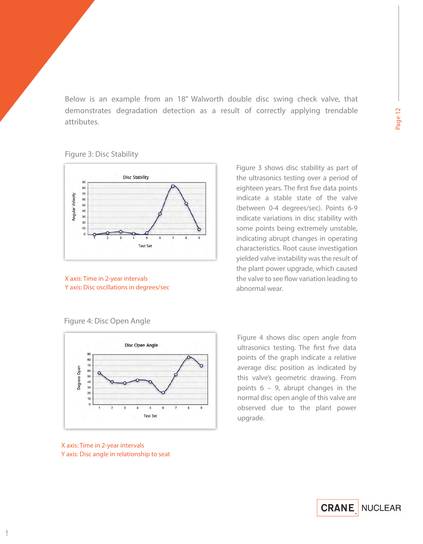Below is an example from an 18" Walworth double disc swing check valve, that demonstrates degradation detection as a result of correctly applying trendable attributes.

#### *Figure 3*: Disc Stability



*X axis: Time in 2-year intervals Y axis: Disc oscillations in degrees/sec*  Figure 3 shows disc stability as part of the ultrasonics testing over a period of eighteen years. The first five data points indicate a stable state of the valve (between 0-4 degrees/sec). Points 6-9 indicate variations in disc stability with some points being extremely unstable, indicating abrupt changes in operating characteristics. Root cause investigation yielded valve instability was the result of the plant power upgrade, which caused the valve to see flow variation leading to abnormal wear.

#### *Figure 4:* Disc Open Angle



Figure 4 shows disc open angle from ultrasonics testing. The first five data points of the graph indicate a relative average disc position as indicated by this valve's geometric drawing. From points 6 – 9, abrupt changes in the normal disc open angle of this valve are observed due to the plant power upgrade.

#### *X axis: Time in 2-year intervals Y axis: Disc angle in relationship to seat*

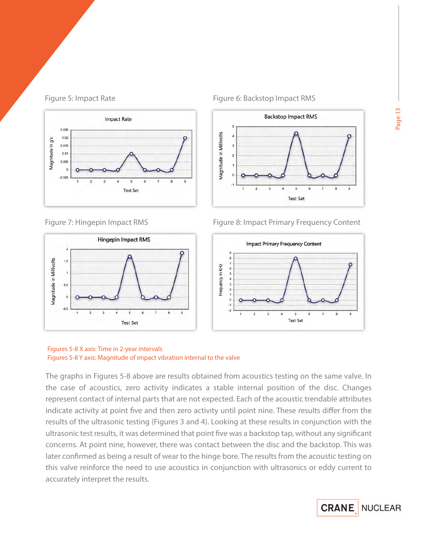





### *Figure 5:* Impact Rate *Figure 6:* Backstop Impact RMS



### *Figure 7:* Hingepin Impact RMS *Figure 8:* Impact Primary Frequency Content



#### *Figures 5-8 X axis: Time in 2-year intervals Figures 5-8 Y axis: Magnitude of impact vibration internal to the valve*

The graphs in Figures 5-8 above are results obtained from acoustics testing on the same valve. In the case of acoustics, zero activity indicates a stable internal position of the disc. Changes represent contact of internal parts that are not expected. Each of the acoustic trendable attributes indicate activity at point five and then zero activity until point nine. These results differ from the results of the ultrasonic testing (Figures 3 and 4). Looking at these results in conjunction with the ultrasonic test results, it was determined that point five was a backstop tap, without any significant concerns. At point nine, however, there was contact between the disc and the backstop. This was later confirmed as being a result of wear to the hinge bore. The results from the acoustic testing on this valve reinforce the need to use acoustics in conjunction with ultrasonics or eddy current to accurately interpret the results.

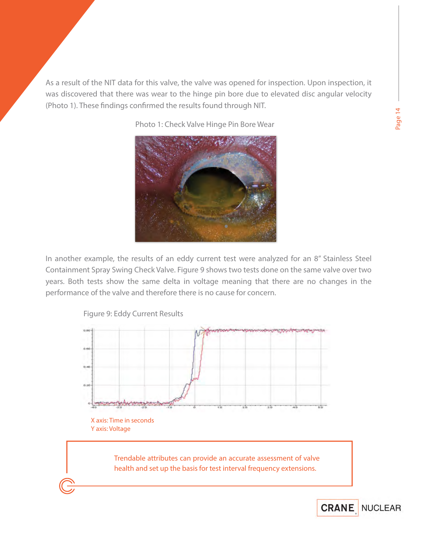As a result of the NIT data for this valve, the valve was opened for inspection. Upon inspection, it was discovered that there was wear to the hinge pin bore due to elevated disc angular velocity (Photo 1). These findings confirmed the results found through NIT.

*Photo 1:* Check Valve Hinge Pin Bore Wear



In another example, the results of an eddy current test were analyzed for an 8" Stainless Steel Containment Spray Swing Check Valve. Figure 9 shows two tests done on the same valve over two years. Both tests show the same delta in voltage meaning that there are no changes in the performance of the valve and therefore there is no cause for concern.



**Page 14**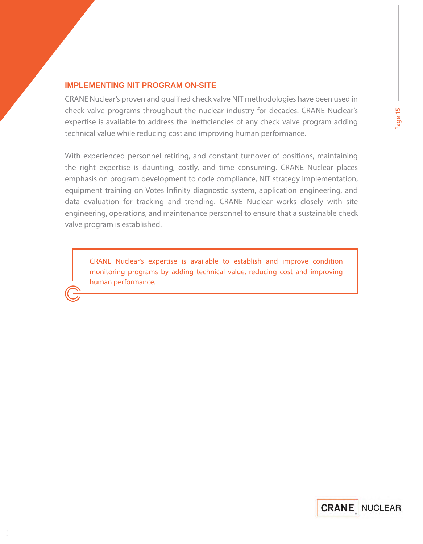### **IMPLEMENTING NIT PROGRAM ON-SITE**

CRANE Nuclear's proven and qualified check valve NIT methodologies have been used in check valve programs throughout the nuclear industry for decades. CRANE Nuclear's expertise is available to address the inefficiencies of any check valve program adding technical value while reducing cost and improving human performance.

With experienced personnel retiring, and constant turnover of positions, maintaining the right expertise is daunting, costly, and time consuming. CRANE Nuclear places emphasis on program development to code compliance, NIT strategy implementation, equipment training on Votes Infinity diagnostic system, application engineering, and data evaluation for tracking and trending. CRANE Nuclear works closely with site engineering, operations, and maintenance personnel to ensure that a sustainable check valve program is established.

**CRANE Nuclear's expertise is available to establish and improve condition monitoring programs by adding technical value, reducing cost and improving human performance.**

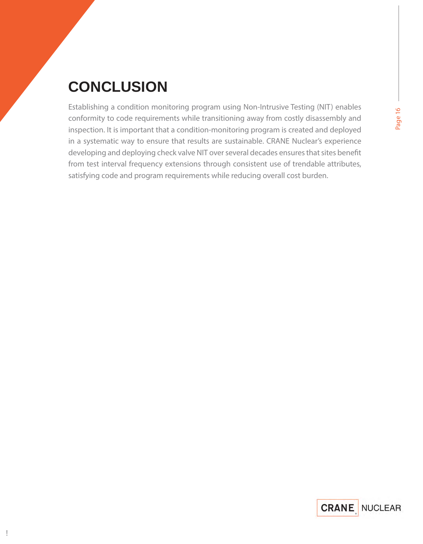# **CONCLUSION**

Establishing a condition monitoring program using Non-Intrusive Testing (NIT) enables conformity to code requirements while transitioning away from costly disassembly and inspection. It is important that a condition-monitoring program is created and deployed in a systematic way to ensure that results are sustainable. CRANE Nuclear's experience developing and deploying check valve NIT over several decades ensures that sites benefit from test interval frequency extensions through consistent use of trendable attributes, satisfying code and program requirements while reducing overall cost burden.